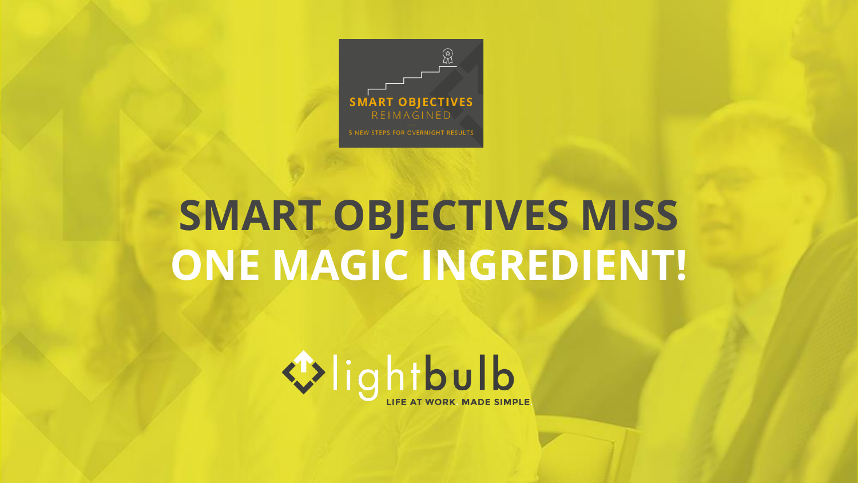

# **SMART OBJECTIVES MISS ONE MAGIC INGREDIENT!**

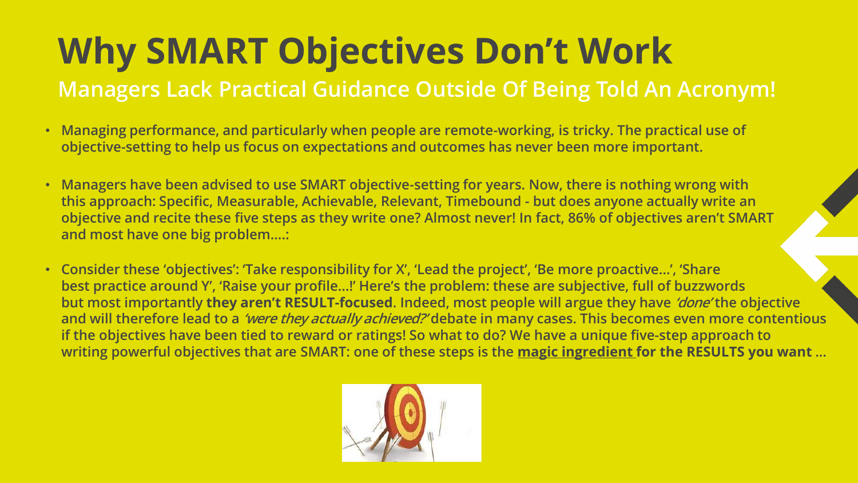# **Why SMART Objectives Don't Work**

### **Managers Lack Practical Guidance Outside Of Being Told An Acronym!**

- **Managing performance, and particularly when people are remote-working, is tricky. The practical use of objective-setting to help us focus on expectations and outcomes has never been more important.**
- **Managers have been advised to use SMART objective-setting for years. Now, there is nothing wrong with this approach: Specific, Measurable, Achievable, Relevant, Timebound - but does anyone actually write an objective and recite these five steps as they write one? Almost never! In fact, 86% of objectives aren't SMART and most have one big problem….:**
- **Consider these 'objectives': 'Take responsibility for X', 'Lead the project', 'Be more proactive…', 'Share best practice around Y', 'Raise your profile…!' Here's the problem: these are subjective, full of buzzwords but most importantly they aren't RESULT-focused. Indeed, most people will argue they have 'done' the objective and will therefore lead to a 'were they actually achieved?' debate in many cases. This becomes even more contentious if the objectives have been tied to reward or ratings! So what to do? We have a unique five-step approach to writing powerful objectives that are SMART: one of these steps is the magic ingredient for the RESULTS you want …**

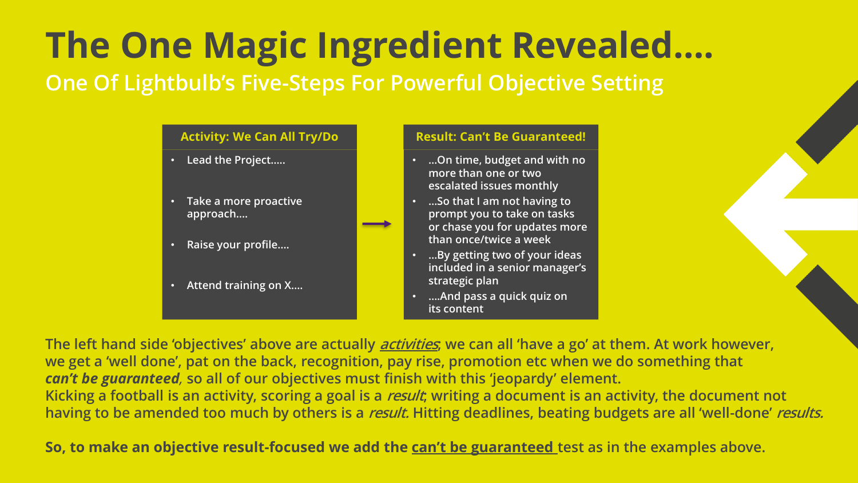### **The One Magic Ingredient Revealed…. One Of Lightbulb's Five-Steps For Powerful Objective Setting**

#### • **Lead the Project…..** • **Take a more proactive approach….** Activity: We Can All Try/Do **Result: Can't Be Guaranteed!**

- **Raise your profile….**
- **Attend training on X….**

- **…On time, budget and with no more than one or two escalated issues monthly**
- **…So that I am not having to prompt you to take on tasks or chase you for updates more than once/twice a week**
- **…By getting two of your ideas included in a senior manager's strategic plan**
- **….And pass a quick quiz on its content**

**The left hand side 'objectives' above are actually activities; we can all 'have a go' at them. At work however, we get a 'well done', pat on the back, recognition, pay rise, promotion etc when we do something that**  *can't be guaranteed,* **so all of our objectives must finish with this 'jeopardy' element. Kicking a football is an activity, scoring a goal is a result; writing a document is an activity, the document not having to be amended too much by others is a result. Hitting deadlines, beating budgets are all 'well-done' results.**

**So, to make an objective result-focused we add the can't be guaranteed test as in the examples above.**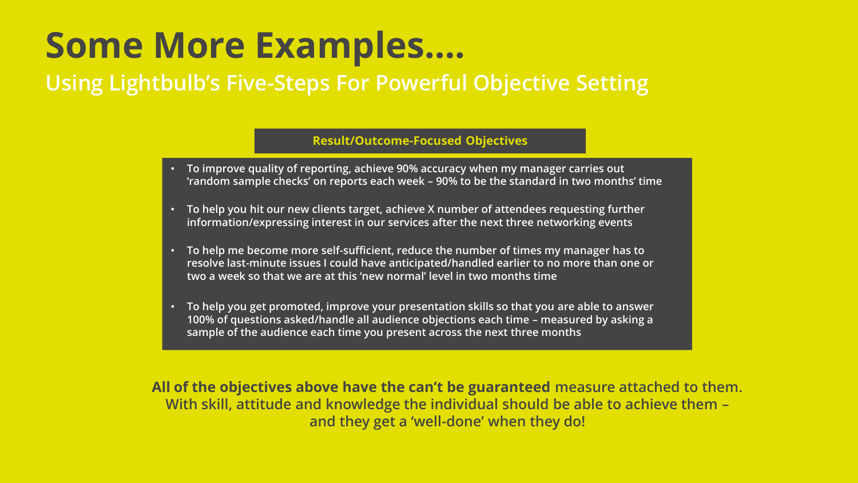## **Some More Examples….**

### **Using Lightbulb's Five-Steps For Powerful Objective Setting**

#### **Result/Outcome-Focused Objectives**

- **To improve quality of reporting, achieve 90% accuracy when my manager carries out 'random sample checks' on reports each week – 90% to be the standard in two months' time**
- **To help you hit our new clients target, achieve X number of attendees requesting further information/expressing interest in our services after the next three networking events**
- **To help me become more self-sufficient, reduce the number of times my manager has to resolve last-minute issues I could have anticipated/handled earlier to no more than one or two a week so that we are at this 'new normal' level in two months time.**
- **To help you get promoted, improve your presentation skills so that you are able to answer 100% of questions asked/handle all audience objections each time – measured by asking a sample of the audience each time you present across the next three months**

**All of the objectives above have the can't be guaranteed measure attached to them. With skill, attitude and knowledge the individual should be able to achieve them – and they get a 'well-done' when they do!**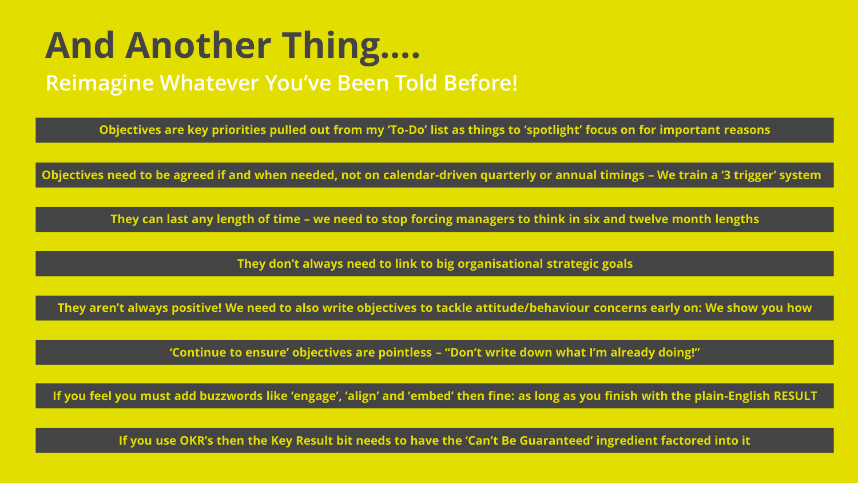# **And Another Thing….**

### **Reimagine Whatever You've Been Told Before!**

**Objectives are key priorities pulled out from my 'To-Do' list as things to 'spotlight' focus on for important reasons**

**Objectives need to be agreed if and when needed, not on calendar-driven quarterly or annual timings – We train a '3 trigger' system** 

**They can last any length of time – we need to stop forcing managers to think in six and twelve month lengths**

**They don't always need to link to big organisational strategic goals**

**They aren't always positive! We need to also write objectives to tackle attitude/behaviour concerns early on: We show you how**

**'Continue to ensure' objectives are pointless – "Don't write down what I'm already doing!"**

**If you feel you must add buzzwords like 'engage', 'align' and 'embed' then fine: as long as you finish with the plain-English RESULT**

**If you use OKR's then the Key Result bit needs to have the 'Can't Be Guaranteed' ingredient factored into it**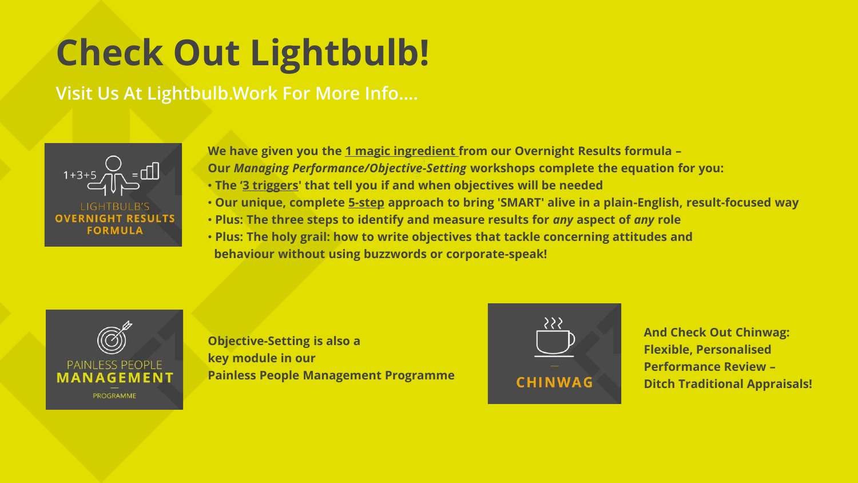# **Check Out Lightbulb!**

### **Visit Us At Lightbulb.Work For More Info….**



**We have given you the 1 magic ingredient from our Overnight Results formula – Our** *Managing Performance/Objective-Setting* **workshops complete the equation for you:** • **The '3 triggers' that tell you if and when objectives will be needed**

- **Our unique, complete 5-step approach to bring 'SMART' alive in a plain-English, result-focused way**
- **Plus: The three steps to identify and measure results for** *any* **aspect of** *any* **role**
- **Plus: The holy grail: how to write objectives that tackle concerning attitudes and behaviour without using buzzwords or corporate-speak!**



**Objective-Setting is also a key module in our Painless People Management Programme**



**And Check Out Chinwag: Flexible, Personalised Performance Review – Ditch Traditional Appraisals!**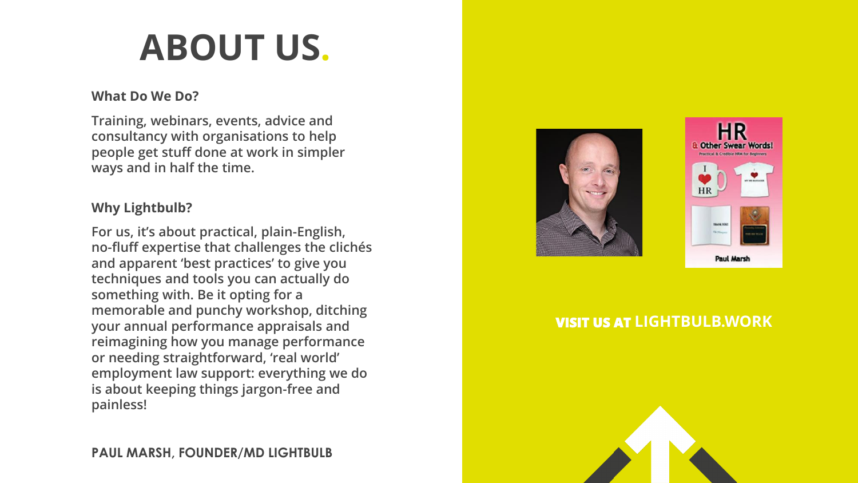# **ABOUT US.**

#### **What Do We Do?**

**Training, webinars, events, advice and consultancy with organisations to help people get stuff done at work in simpler ways and in half the time.**

#### **Why Lightbulb?**

**For us, it's about practical, plain-English, no-fluff expertise that challenges the clichés and apparent 'best practices' to give you techniques and tools you can actually do something with. Be it opting for a memorable and punchy workshop, ditching your annual performance appraisals and reimagining how you manage performance or needing straightforward, 'real world' employment law support: everything we do is about keeping things jargon-free and painless!**





#### **VISIT US AT [LIGHTBULB.WORK](http://www.lightbulbhr.co.uk/)**